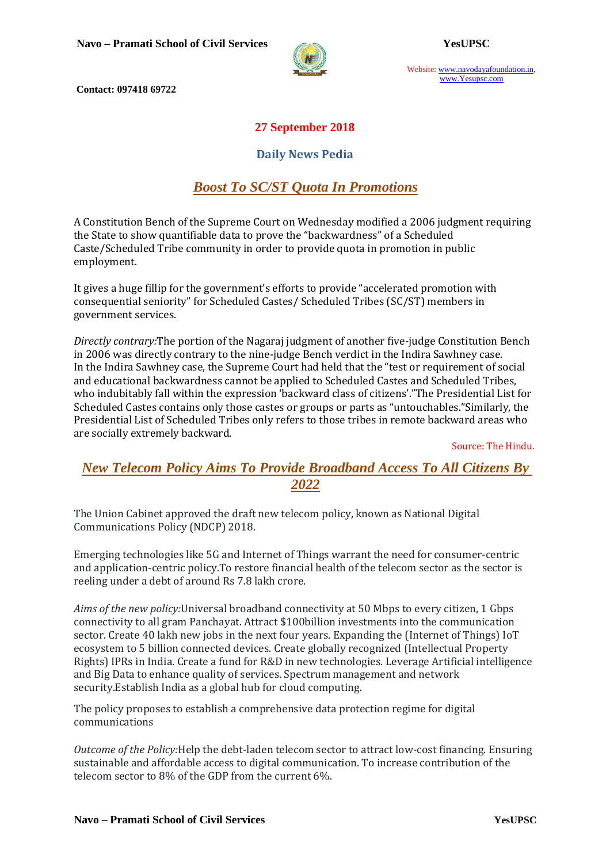

Website: www.navodayafoundation.in, www.Yesupsc.com

 **Contact: 097418 69722** 

### **27 September 2018**

#### **Daily News Pedia**

## *Boost To SC/ST Quota In Promotions*

A Constitution Bench of the Supreme Court on Wednesday modified a 2006 judgment requiring the State to show quantifiable data to prove the "backwardness" of a Scheduled Caste/Scheduled Tribe community in order to provide quota in promotion in public employment.

It gives a huge fillip for the government's efforts to provide "accelerated promotion with consequential seniority" for Scheduled Castes/ Scheduled Tribes (SC/ST) members in government services.

*Directly contrary:*The portion of the Nagaraj judgment of another five-judge Constitution Bench in 2006 was directly contrary to the nine-judge Bench verdict in the Indira Sawhney case. In the Indira Sawhney case, the Supreme Court had held that the "test or requirement of social and educational backwardness cannot be applied to Scheduled Castes and Scheduled Tribes, who indubitably fall within the expression 'backward class of citizens'."The Presidential List for Scheduled Castes contains only those castes or groups or parts as "untouchables."Similarly, the Presidential List of Scheduled Tribes only refers to those tribes in remote backward areas who are socially extremely backward.

Source: The Hindu.

## *New Telecom Policy Aims To Provide Broadband Access To All Citizens By 2022*

The Union Cabinet approved the draft new telecom policy, known as National Digital Communications Policy (NDCP) 2018.

Emerging technologies like 5G and Internet of Things warrant the need for consumer-centric and application-centric policy.To restore financial health of the telecom sector as the sector is reeling under a debt of around Rs 7.8 lakh crore.

*Aims of the new policy:*Universal broadband connectivity at 50 Mbps to every citizen, 1 Gbps connectivity to all gram Panchayat. Attract \$100billion investments into the communication sector. Create 40 lakh new jobs in the next four years. Expanding the (Internet of Things) IoT ecosystem to 5 billion connected devices. Create globally recognized (Intellectual Property Rights) IPRs in India. Create a fund for R&D in new technologies. Leverage Artificial intelligence and Big Data to enhance quality of services. Spectrum management and network security.Establish India as a global hub for cloud computing.

The policy proposes to establish a comprehensive data protection regime for digital communications

*Outcome of the Policy:*Help the debt-laden telecom sector to attract low-cost financing. Ensuring sustainable and affordable access to digital communication. To increase contribution of the telecom sector to 8% of the GDP from the current 6%.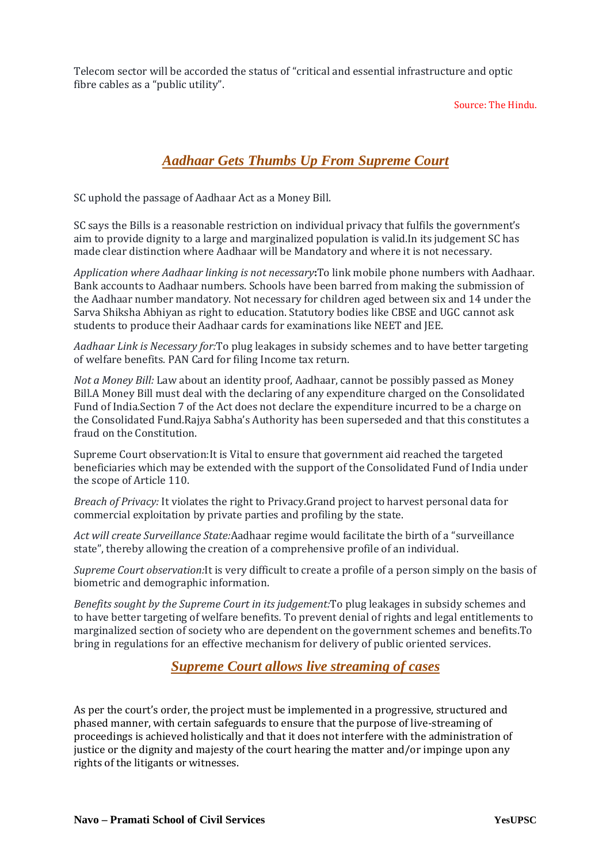Telecom sector will be accorded the status of "critical and essential infrastructure and optic fibre cables as a "public utility".

Source: The Hindu.

## *Aadhaar Gets Thumbs Up From Supreme Court*

SC uphold the passage of Aadhaar Act as a Money Bill.

SC says the Bills is a reasonable restriction on individual privacy that fulfils the government's aim to provide dignity to a large and marginalized population is valid.In its judgement SC has made clear distinction where Aadhaar will be Mandatory and where it is not necessary.

*Application where Aadhaar linking is not necessary***:**To link mobile phone numbers with Aadhaar. Bank accounts to Aadhaar numbers. Schools have been barred from making the submission of the Aadhaar number mandatory. Not necessary for children aged between six and 14 under the Sarva Shiksha Abhiyan as right to education. Statutory bodies like CBSE and UGC cannot ask students to produce their Aadhaar cards for examinations like NEET and JEE.

*Aadhaar Link is Necessary for:*To plug leakages in subsidy schemes and to have better targeting of welfare benefits*.* PAN Card for filing Income tax return.

*Not a Money Bill:* Law about an identity proof, Aadhaar, cannot be possibly passed as Money Bill.A Money Bill must deal with the declaring of any expenditure charged on the Consolidated Fund of India.Section 7 of the Act does not declare the expenditure incurred to be a charge on the Consolidated Fund.Rajya Sabha's Authority has been superseded and that this constitutes a fraud on the Constitution.

Supreme Court observation:It is Vital to ensure that government aid reached the targeted beneficiaries which may be extended with the support of the Consolidated Fund of India under the scope of Article 110.

*Breach of Privacy:* It violates the right to Privacy.Grand project to harvest personal data for commercial exploitation by private parties and profiling by the state.

*Act will create Surveillance State:*Aadhaar regime would facilitate the birth of a "surveillance state", thereby allowing the creation of a comprehensive profile of an individual.

*Supreme Court observation:*It is very difficult to create a profile of a person simply on the basis of biometric and demographic information.

*Benefits sought by the Supreme Court in its judgement:*To plug leakages in subsidy schemes and to have better targeting of welfare benefits*.* To prevent denial of rights and legal entitlements to marginalized section of society who are dependent on the government schemes and benefits.To bring in regulations for an effective mechanism for delivery of public oriented services.

#### *Supreme Court allows live streaming of cases*

As per the court's order, the project must be implemented in a progressive, structured and phased manner, with certain safeguards to ensure that the purpose of live-streaming of proceedings is achieved holistically and that it does not interfere with the administration of justice or the dignity and majesty of the court hearing the matter and/or impinge upon any rights of the litigants or witnesses.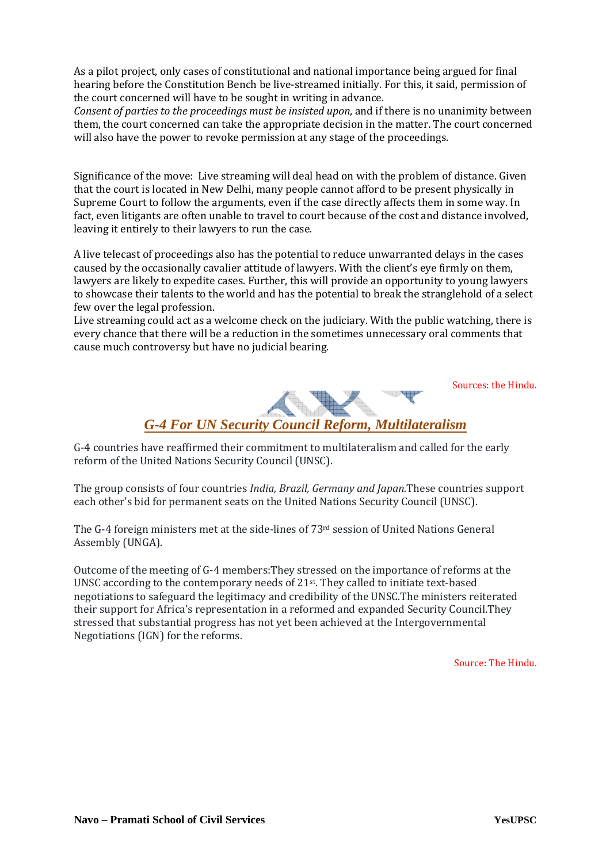As a pilot project, only cases of constitutional and national importance being argued for final hearing before the Constitution Bench be live-streamed initially. For this, it said, permission of the court concerned will have to be sought in writing in advance.

*Consent of parties to the proceedings must be insisted upon*, and if there is no unanimity between them, the court concerned can take the appropriate decision in the matter. The court concerned will also have the power to revoke permission at any stage of the proceedings.

Significance of the move: Live streaming will deal head on with the problem of distance. Given that the court is located in New Delhi, many people cannot afford to be present physically in Supreme Court to follow the arguments, even if the case directly affects them in some way. In fact, even litigants are often unable to travel to court because of the cost and distance involved, leaving it entirely to their lawyers to run the case.

A live telecast of proceedings also has the potential to reduce unwarranted delays in the cases caused by the occasionally cavalier attitude of lawyers. With the client's eye firmly on them, lawyers are likely to expedite cases. Further, this will provide an opportunity to young lawyers to showcase their talents to the world and has the potential to break the stranglehold of a select few over the legal profession.

Live streaming could act as a welcome check on the judiciary. With the public watching, there is every chance that there will be a reduction in the sometimes unnecessary oral comments that cause much controversy but have no judicial bearing.

Sources: the Hindu.



G-4 countries have reaffirmed their commitment to multilateralism and called for the early reform of the United Nations Security Council (UNSC).

The group consists of four countries *India, Brazil, Germany and Japan.*These countries support each other's bid for permanent seats on the United Nations Security Council (UNSC).

The G-4 foreign ministers met at the side-lines of  $73<sup>rd</sup>$  session of United Nations General Assembly (UNGA).

Outcome of the meeting of G-4 members:They stressed on the importance of reforms at the UNSC according to the contemporary needs of 21st. They called to initiate text-based negotiations to safeguard the legitimacy and credibility of the UNSC.The ministers reiterated their support for Africa's representation in a reformed and expanded Security Council.They stressed that substantial progress has not yet been achieved at the Intergovernmental Negotiations (IGN) for the reforms.

Source: The Hindu.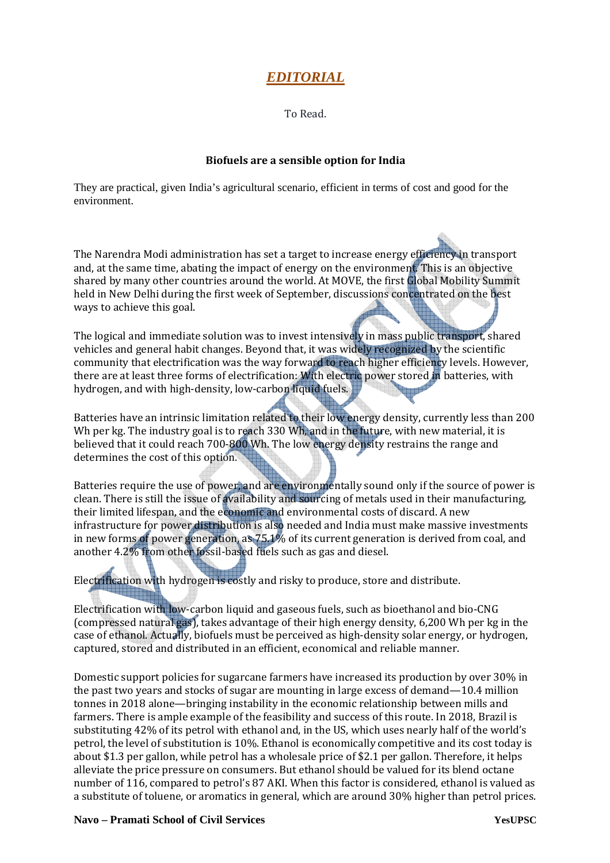# *EDITORIAL*

To Read.

#### **Biofuels are a sensible option for India**

They are practical, given India's agricultural scenario, efficient in terms of cost and good for the environment.

The Narendra Modi administration has set a target to increase energy efficiency in transport and, at the same time, abating the impact of energy on the environment. This is an objective shared by many other countries around the world. At MOVE, the first Global Mobility Summit held in New Delhi during the first week of September, discussions concentrated on the best ways to achieve this goal.

The logical and immediate solution was to invest intensively in mass public transport, shared vehicles and general habit changes. Beyond that, it was widely recognized by the scientific community that electrification was the way forward to reach higher efficiency levels. However, there are at least three forms of electrification: With electric power stored in batteries, with hydrogen, and with high-density, low-carbon liquid fuels.

Batteries have an intrinsic limitation related to their low energy density, currently less than 200 Wh per kg. The industry goal is to reach 330 Wh, and in the future, with new material, it is believed that it could reach 700-800 Wh. The low energy density restrains the range and determines the cost of this option.

Batteries require the use of power, and are environmentally sound only if the source of power is clean. There is still the issue of availability and sourcing of metals used in their manufacturing, their limited lifespan, and the economic and environmental costs of discard. A new infrastructure for power distribution is also needed and India must make massive investments in new forms of power generation, as 75.1% of its current generation is derived from coal, and another 4.2% from other fossil-based fuels such as gas and diesel.

Electrification with hydrogen is costly and risky to produce, store and distribute.

Electrification with low-carbon liquid and gaseous fuels, such as bioethanol and bio-CNG (compressed natural gas), takes advantage of their high energy density, 6,200 Wh per kg in the case of ethanol. Actually, biofuels must be perceived as high-density solar energy, or hydrogen, captured, stored and distributed in an efficient, economical and reliable manner.

Domestic support policies for sugarcane farmers have increased its production by over 30% in the past two years and stocks of sugar are mounting in large excess of demand—10.4 million tonnes in 2018 alone—bringing instability in the economic relationship between mills and farmers. There is ample example of the feasibility and success of this route. In 2018, Brazil is substituting 42% of its petrol with ethanol and, in the US, which uses nearly half of the world's petrol, the level of substitution is 10%. Ethanol is economically competitive and its cost today is about \$1.3 per gallon, while petrol has a wholesale price of \$2.1 per gallon. Therefore, it helps alleviate the price pressure on consumers. But ethanol should be valued for its blend octane number of 116, compared to petrol's 87 AKI. When this factor is considered, ethanol is valued as a substitute of toluene, or aromatics in general, which are around 30% higher than petrol prices.